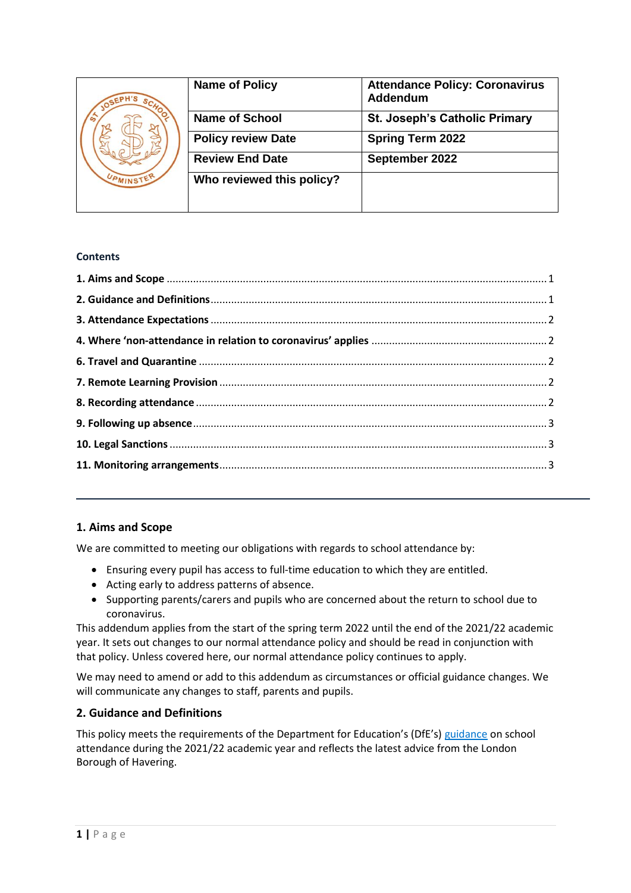| $S_{C_{\mathcal{L}}}$ | <b>Name of Policy</b>     | <b>Attendance Policy: Coronavirus</b><br>Addendum |
|-----------------------|---------------------------|---------------------------------------------------|
|                       | <b>Name of School</b>     | <b>St. Joseph's Catholic Primary</b>              |
|                       | <b>Policy review Date</b> | <b>Spring Term 2022</b>                           |
|                       | <b>Review End Date</b>    | September 2022                                    |
| UPMINSTEN             | Who reviewed this policy? |                                                   |
|                       |                           |                                                   |

## **Contents**

# <span id="page-0-0"></span>1. Aims and Scope

We are committed to meeting our obligations with regards to school attendance by:

- Ensuring every pupil has access to full-time education to which they are entitled.
- Acting early to address patterns of absence.
- Supporting parents/carers and pupils who are concerned about the return to school due to coronavirus.

This addendum applies from the start of the spring term 2022 until the end of the 2021/22 academic year. It sets out changes to our normal attendance policy and should be read in conjunction with that policy. Unless covered here, our normal attendance policy continues to apply.

We may need to amend or add to this addendum as circumstances or official guidance changes. We will communicate any changes to staff, parents and pupils.

## <span id="page-0-1"></span>2. Guidance and Definitions

This policy meets the requirements of the Department for Education's (DfE's) guidance on school attendance during the 2021/22 academic year and reflects the latest advice from the London Borough of Havering.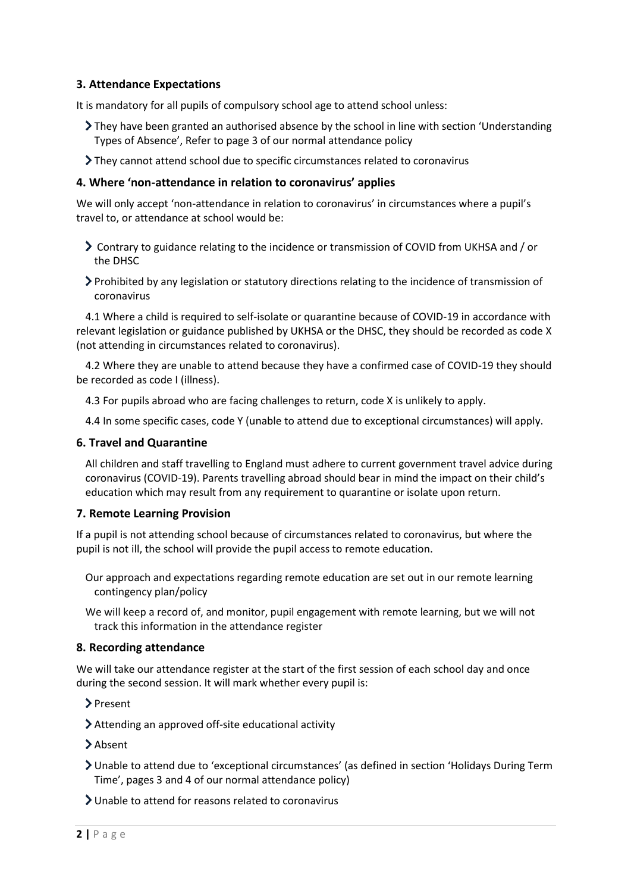# <span id="page-1-0"></span>**3. Attendance Expectations**

It is mandatory for all pupils of compulsory school age to attend school unless:

- $\sum$  They have been granted an authorised absence by the school in line with section 'Understanding' Types of Absence', Refer to page 3 of our normal attendance policy
- They cannot attend school due to specific circumstances related to coronavirus

### <span id="page-1-1"></span>**4. Where 'non-attendance in relation to coronavirus' applies**

We will only accept 'non-attendance in relation to coronavirus' in circumstances where a pupil's travel to, or attendance at school would be:

- Contrary to guidance relating to the incidence or transmission of COVID from UKHSA and / or the DHSC
- Prohibited by any legislation or statutory directions relating to the incidence of transmission of coronavirus

4.1 Where a child is required to self-isolate or quarantine because of COVID-19 in accordance with relevant legislation or guidance published by UKHSA or the DHSC, they should be recorded as code X (not attending in circumstances related to coronavirus).

4.2 Where they are unable to attend because they have a confirmed case of COVID-19 they should be recorded as code I (illness).

4.3 For pupils abroad who are facing challenges to return, code X is unlikely to apply.

4.4 In some specific cases, code Y (unable to attend due to exceptional circumstances) will apply.

#### <span id="page-1-2"></span>**6. Travel and Quarantine**

All children and staff travelling to England must adhere to current government travel advice during coronavirus (COVID-19). Parents travelling abroad should bear in mind the impact on their child's education which may result from any requirement to quarantine or isolate upon return.

#### <span id="page-1-3"></span>**7. Remote Learning Provision**

If a pupil is not attending school because of circumstances related to coronavirus, but where the pupil is not ill, the school will provide the pupil access to remote education.

- Our approach and expectations regarding remote education are set out in our remote learning contingency plan/policy
- We will keep a record of, and monitor, pupil engagement with remote learning, but we will not track this information in the attendance register

#### <span id="page-1-4"></span>**8. Recording attendance**

We will take our attendance register at the start of the first session of each school day and once during the second session. It will mark whether every pupil is:

> Present

Attending an approved off-site educational activity

> Absent

- Unable to attend due to 'exceptional circumstances' (as defined in section 'Holidays During Term Time', pages 3 and 4 of our normal attendance policy)
- Unable to attend for reasons related to coronavirus